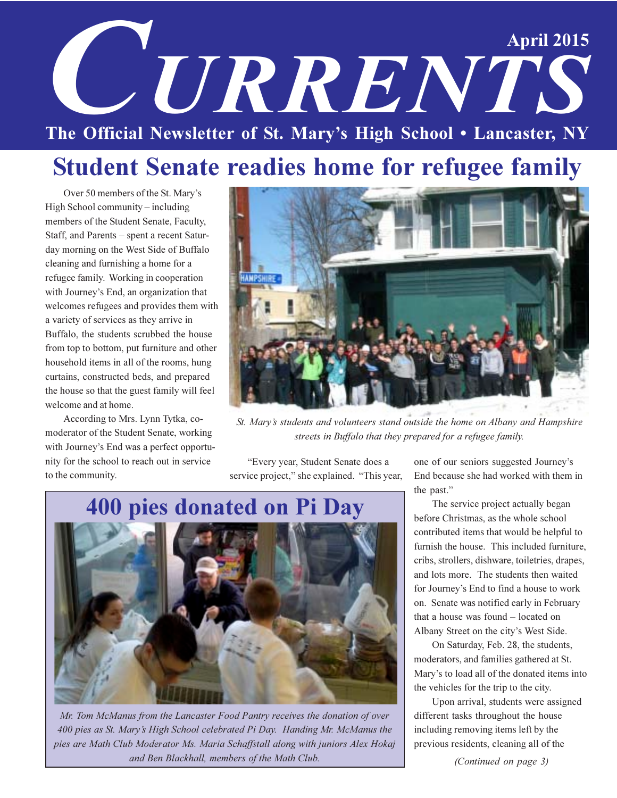# **April 2015 CETRRENTS** The Official Newsletter of St. Mary's High School . Lancaster, NY

### **Student Senate readies home for refugee family**

Over 50 members of the St. Mary's High School community – including members of the Student Senate, Faculty, Staff, and Parents – spent a recent Saturday morning on the West Side of Buffalo cleaning and furnishing a home for a refugee family. Working in cooperation with Journey's End, an organization that welcomes refugees and provides them with a variety of services as they arrive in Buffalo, the students scrubbed the house from top to bottom, put furniture and other household items in all of the rooms, hung curtains, constructed beds, and prepared the house so that the guest family will feel welcome and at home.

According to Mrs. Lynn Tytka, comoderator of the Student Senate, working with Journey's End was a perfect opportunity for the school to reach out in service to the community.



St. Mary's students and volunteers stand outside the home on Albany and Hampshire streets in Buffalo that they prepared for a refugee family.

"Every year, Student Senate does a service project," she explained. "This year,



Mr. Tom McManus from the Lancaster Food Pantry receives the donation of over 400 pies as St. Mary's High School celebrated Pi Day. Handing Mr. McManus the pies are Math Club Moderator Ms. Maria Schaffstall along with juniors Alex Hokaj and Ben Blackhall, members of the Math Club.

one of our seniors suggested Journey's End because she had worked with them in the past."

The service project actually began before Christmas, as the whole school contributed items that would be helpful to furnish the house. This included furniture, cribs, strollers, dishware, toiletries, drapes, and lots more. The students then waited for Journey's End to find a house to work on. Senate was notified early in February that a house was found – located on Albany Street on the city's West Side.

On Saturday, Feb. 28, the students, moderators, and families gathered at St. Mary's to load all of the donated items into the vehicles for the trip to the city.

Upon arrival, students were assigned different tasks throughout the house including removing items left by the previous residents, cleaning all of the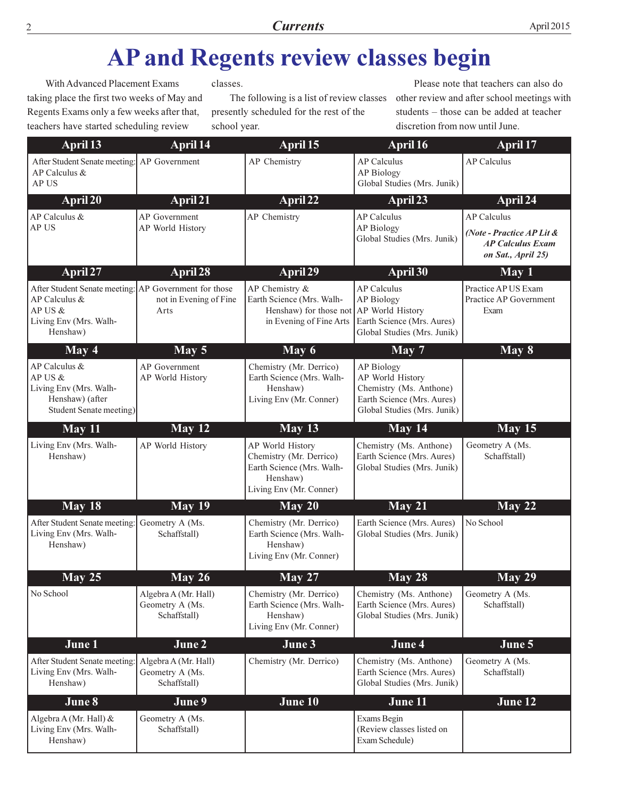### AP and Regents review classes begin

With Advanced Placement Exams taking place the first two weeks of May and Regents Exams only a few weeks after that, teachers have started scheduling review

classes.

The following is a list of review classes presently scheduled for the rest of the school year.

Please note that teachers can also do other review and after school meetings with students - those can be added at teacher discretion from now until June.

| <b>April 13</b>                                                                                                         | April 14                                                | April 15                                                                                                          | April 16                                                                                                                      | April 17                                                                                         |
|-------------------------------------------------------------------------------------------------------------------------|---------------------------------------------------------|-------------------------------------------------------------------------------------------------------------------|-------------------------------------------------------------------------------------------------------------------------------|--------------------------------------------------------------------------------------------------|
| After Student Senate meeting: AP Government<br>AP Calculus &<br>AP US                                                   |                                                         | AP Chemistry                                                                                                      | <b>AP Calculus</b><br><b>AP Biology</b><br>Global Studies (Mrs. Junik)                                                        | <b>AP Calculus</b>                                                                               |
| April 20                                                                                                                | April 21                                                | April 22                                                                                                          | April 23                                                                                                                      | April 24                                                                                         |
| AP Calculus &<br>AP US                                                                                                  | AP Government<br>AP World History                       | AP Chemistry                                                                                                      | <b>AP Calculus</b><br>AP Biology<br>Global Studies (Mrs. Junik)                                                               | <b>AP Calculus</b><br>(Note - Practice AP Lit &<br><b>AP Calculus Exam</b><br>on Sat., April 25) |
| April 27                                                                                                                | April 28                                                | April 29                                                                                                          | April 30                                                                                                                      | May 1                                                                                            |
| After Student Senate meeting: AP Government for those<br>AP Calculus &<br>AP US &<br>Living Env (Mrs. Walh-<br>Henshaw) | not in Evening of Fine<br>Arts                          | AP Chemistry &<br>Earth Science (Mrs. Walh-<br>Henshaw) for those not AP World History<br>in Evening of Fine Arts | <b>AP Calculus</b><br><b>AP Biology</b><br>Earth Science (Mrs. Aures)<br>Global Studies (Mrs. Junik)                          | Practice AP US Exam<br>Practice AP Government<br>Exam                                            |
| May 4                                                                                                                   | May 5                                                   | May 6                                                                                                             | May 7                                                                                                                         | May 8                                                                                            |
| AP Calculus &<br>AP US &<br>Living Env (Mrs. Walh-<br>Henshaw) (after<br>Student Senate meeting)                        | <b>AP</b> Government<br>AP World History                | Chemistry (Mr. Derrico)<br>Earth Science (Mrs. Walh-<br>Henshaw)<br>Living Env (Mr. Conner)                       | <b>AP Biology</b><br>AP World History<br>Chemistry (Ms. Anthone)<br>Earth Science (Mrs. Aures)<br>Global Studies (Mrs. Junik) |                                                                                                  |
| May 11                                                                                                                  | May 12                                                  | May 13                                                                                                            | May 14                                                                                                                        | <b>May 15</b>                                                                                    |
| Living Env (Mrs. Walh-<br>Henshaw)                                                                                      | AP World History                                        | AP World History<br>Chemistry (Mr. Derrico)<br>Earth Science (Mrs. Walh-<br>Henshaw)<br>Living Env (Mr. Conner)   | Chemistry (Ms. Anthone)<br>Earth Science (Mrs. Aures)<br>Global Studies (Mrs. Junik)                                          | Geometry A (Ms.<br>Schaffstall)                                                                  |
| May 18                                                                                                                  | <b>May 19</b>                                           | May 20                                                                                                            | May 21                                                                                                                        | May 22                                                                                           |
| After Student Senate meeting:<br>Living Env (Mrs. Walh-<br>Henshaw)                                                     | Geometry A (Ms.<br>Schaffstall)                         | Chemistry (Mr. Derrico)<br>Earth Science (Mrs. Walh-<br>Henshaw)<br>Living Env (Mr. Conner)                       | Earth Science (Mrs. Aures)<br>Global Studies (Mrs. Junik)                                                                     | No School                                                                                        |
| May $25$                                                                                                                | May $26$                                                | <b>May 27</b>                                                                                                     | $\overline{May} 28$                                                                                                           | <b>May 29</b>                                                                                    |
| No School                                                                                                               | Algebra A (Mr. Hall)<br>Geometry A (Ms.<br>Schaffstall) | Chemistry (Mr. Derrico)<br>Earth Science (Mrs. Walh-<br>Henshaw)<br>Living Env (Mr. Conner)                       | Chemistry (Ms. Anthone)<br>Earth Science (Mrs. Aures)<br>Global Studies (Mrs. Junik)                                          | Geometry A (Ms.<br>Schaffstall)                                                                  |
| June 1                                                                                                                  | June 2                                                  | June 3                                                                                                            | June 4                                                                                                                        | June 5                                                                                           |
| After Student Senate meeting:<br>Living Env (Mrs. Walh-<br>Henshaw)                                                     | Algebra A (Mr. Hall)<br>Geometry A (Ms.<br>Schaffstall) | Chemistry (Mr. Derrico)                                                                                           | Chemistry (Ms. Anthone)<br>Earth Science (Mrs. Aures)<br>Global Studies (Mrs. Junik)                                          | Geometry A (Ms.<br>Schaffstall)                                                                  |
| June 8                                                                                                                  | June 9                                                  | June 10                                                                                                           | June 11                                                                                                                       | June 12                                                                                          |
| Algebra A (Mr. Hall) &<br>Living Env (Mrs. Walh-<br>Henshaw)                                                            | Geometry A (Ms.<br>Schaffstall)                         |                                                                                                                   | Exams Begin<br>(Review classes listed on<br>Exam Schedule)                                                                    |                                                                                                  |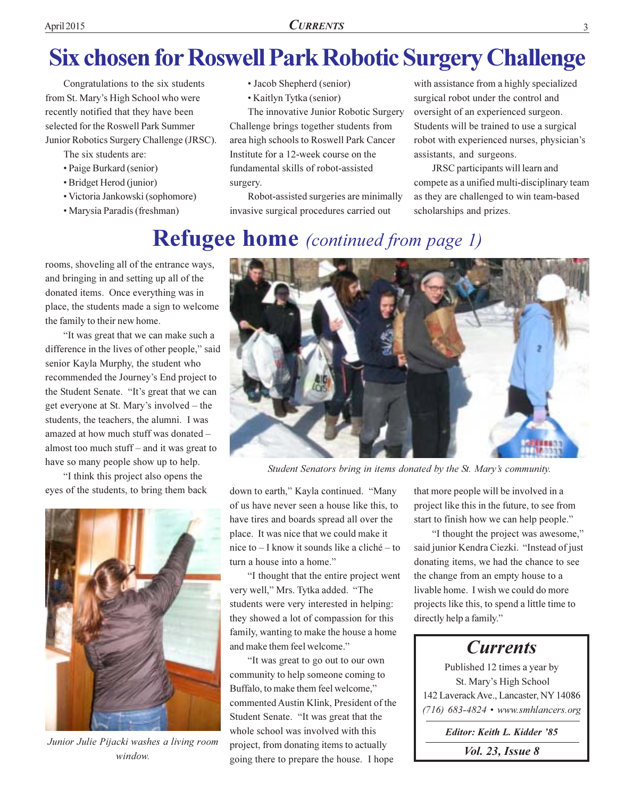### **Six chosen for Roswell Park Robotic Surgery Challenge**

Congratulations to the six students from St. Mary's High School who were recently notified that they have been selected for the Roswell Park Summer Junior Robotics Surgery Challenge (JRSC).

- The six students are:
- Paige Burkard (senior)
- · Bridget Herod (junior)
- Victoria Jankowski (sophomore)
- · Marysia Paradis (freshman)
- Jacob Shepherd (senior)
- Kaitlyn Tytka (senior)

The innovative Junior Robotic Surgery Challenge brings together students from area high schools to Roswell Park Cancer Institute for a 12-week course on the fundamental skills of robot-assisted surgery.

Robot-assisted surgeries are minimally invasive surgical procedures carried out

with assistance from a highly specialized surgical robot under the control and oversight of an experienced surgeon. Students will be trained to use a surgical robot with experienced nurses, physician's assistants, and surgeons.

JRSC participants will learn and compete as a unified multi-disciplinary team as they are challenged to win team-based scholarships and prizes.

#### **Refugee home** (continued from page 1)

rooms, shoveling all of the entrance ways, and bringing in and setting up all of the donated items. Once everything was in place, the students made a sign to welcome the family to their new home.

"It was great that we can make such a difference in the lives of other people," said senior Kayla Murphy, the student who recommended the Journey's End project to the Student Senate. "It's great that we can get everyone at St. Mary's involved – the students, the teachers, the alumni. I was amazed at how much stuff was donated almost too much stuff - and it was great to have so many people show up to help.

"I think this project also opens the eyes of the students, to bring them back



Junior Julie Pijacki washes a living room window



Student Senators bring in items donated by the St. Mary's community.

down to earth," Kayla continued. "Many of us have never seen a house like this, to have tires and boards spread all over the place. It was nice that we could make it nice to – I know it sounds like a cliché – to turn a house into a home."

"I thought that the entire project went very well," Mrs. Tytka added. "The students were very interested in helping: they showed a lot of compassion for this family, wanting to make the house a home and make them feel welcome."

"It was great to go out to our own community to help someone coming to Buffalo, to make them feel welcome." commented Austin Klink, President of the Student Senate. "It was great that the whole school was involved with this project, from donating items to actually going there to prepare the house. I hope

that more people will be involved in a project like this in the future, to see from start to finish how we can help people."

"I thought the project was awesome," said junior Kendra Ciezki. "Instead of just donating items, we had the chance to see the change from an empty house to a livable home. I wish we could do more projects like this, to spend a little time to directly help a family."

#### **Currents** Published 12 times a year by St. Mary's High School 142 Laverack Ave., Lancaster, NY 14086  $(716)$  683-4824 • www.smhlancers.org Editor: Keith L. Kidder '85 *Vol. 23, Issue 8*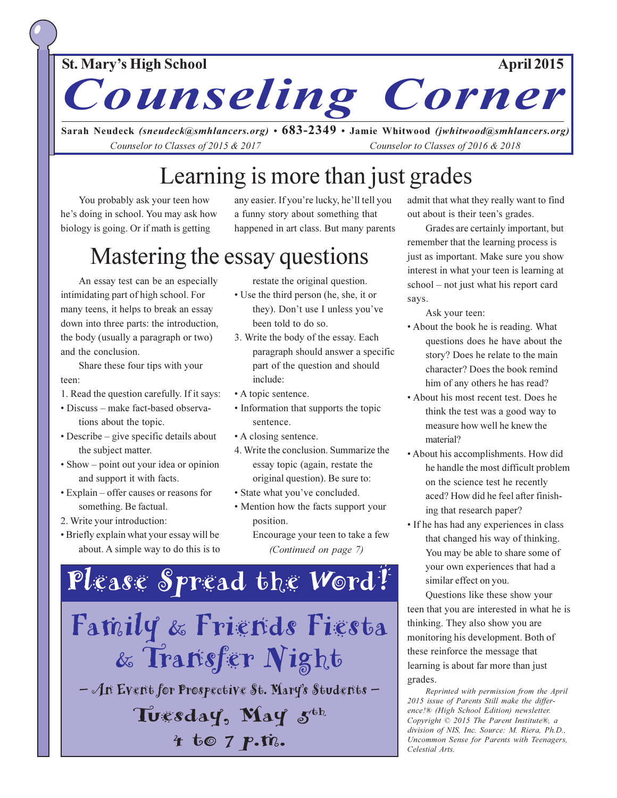#### **St. Mary's High School**

**April 2015** 

Counseling Corner

Sarah Neudeck (sneudeck@smhlancers.org) • 683-2349 • Jamie Whitwood (jwhitwood@smhlancers.org) Counselor to Classes of 2015 & 2017 Counselor to Classes of 2016 & 2018

### Learning is more than just grades

You probably ask your teen how he's doing in school. You may ask how biology is going. Or if math is getting

any easier. If you're lucky, he'll tell you a funny story about something that happened in art class. But many parents

#### Mastering the essay questions

An essay test can be an especially intimidating part of high school. For many teens, it helps to break an essay down into three parts: the introduction, the body (usually a paragraph or two) and the conclusion.

Share these four tips with your teen:

- 1. Read the question carefully. If it says:
- Discuss make fact-based observations about the topic.
- Describe give specific details about the subject matter.
- Show point out your idea or opinion and support it with facts.
- Explain offer causes or reasons for something. Be factual.
- 2. Write your introduction:
- Briefly explain what your essay will be about. A simple way to do this is to

restate the original question.

- Use the third person (he, she, it or they). Don't use I unless you've been told to do so.
- 3. Write the body of the essay. Each paragraph should answer a specific part of the question and should include:
- A topic sentence.
- Information that supports the topic sentence.
- A closing sentence.
- 4. Write the conclusion. Summarize the essay topic (again, restate the original question). Be sure to:
- · State what you've concluded.
- Mention how the facts support your position.

Encourage your teen to take a few (Continued on page 7)



admit that what they really want to find out about is their teen's grades.

Grades are certainly important, but remember that the learning process is just as important. Make sure you show interest in what your teen is learning at school – not just what his report card says.

Ask your teen:

- About the book he is reading. What questions does he have about the story? Does he relate to the main character? Does the book remind him of any others he has read?
- About his most recent test. Does he think the test was a good way to measure how well he knew the material?
- About his accomplishments. How did he handle the most difficult problem on the science test he recently aced? How did he feel after finishing that research paper?
- If he has had any experiences in class that changed his way of thinking. You may be able to share some of your own experiences that had a similar effect on you.

Questions like these show your teen that you are interested in what he is thinking. They also show you are monitoring his development. Both of these reinforce the message that learning is about far more than just grades.

Reprinted with permission from the April 2015 issue of Parents Still make the difference!® (High School Edition) newsletter. Copyright © 2015 The Parent Institute®, a division of NIS, Inc. Source: M. Riera, Ph.D., Uncommon Sense for Parents with Teenagers, Celestial Arts.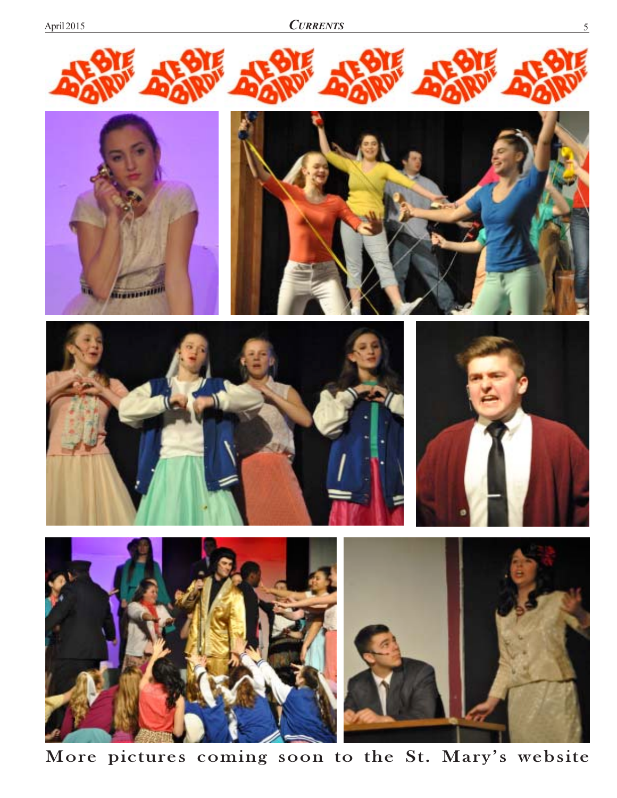









More pictures coming soon to the St. Mary's website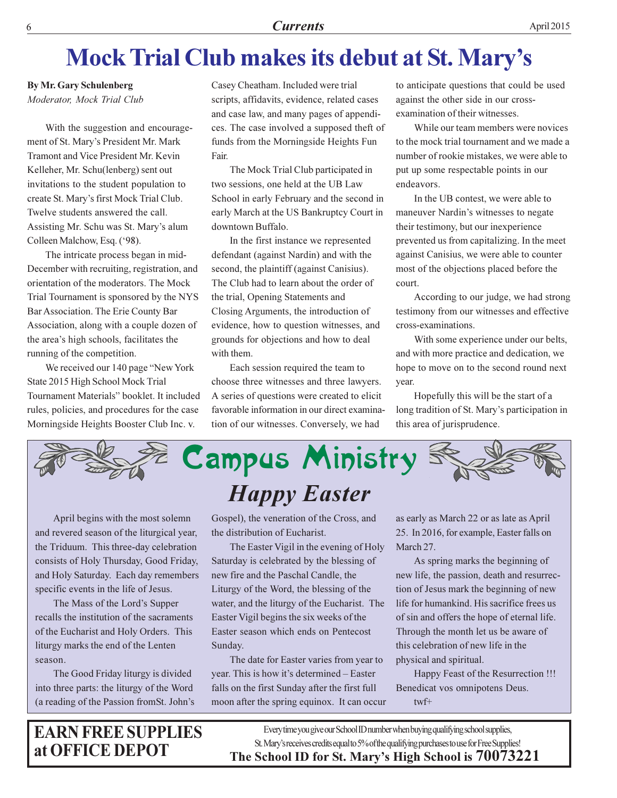### **Mock Trial Club makes its debut at St. Mary's**

**By Mr. Gary Schulenberg** Moderator, Mock Trial Club

With the suggestion and encouragement of St. Mary's President Mr. Mark Tramont and Vice President Mr. Kevin Kelleher, Mr. Schu(lenberg) sent out invitations to the student population to create St. Mary's first Mock Trial Club. Twelve students answered the call. Assisting Mr. Schu was St. Mary's alum Colleen Malchow, Esq. ('98).

The intricate process began in mid-December with recruiting, registration, and orientation of the moderators. The Mock Trial Tournament is sponsored by the NYS Bar Association. The Erie County Bar Association, along with a couple dozen of the area's high schools, facilitates the running of the competition.

We received our 140 page "New York" State 2015 High School Mock Trial Tournament Materials" booklet. It included rules, policies, and procedures for the case Morningside Heights Booster Club Inc. v.

Casey Cheatham. Included were trial scripts, affidavits, evidence, related cases and case law, and many pages of appendices. The case involved a supposed theft of funds from the Morningside Heights Fun Fair.

The Mock Trial Club participated in two sessions, one held at the UB Law School in early February and the second in early March at the US Bankruptcy Court in downtown Buffalo.

In the first instance we represented defendant (against Nardin) and with the second, the plaintiff (against Canisius). The Club had to learn about the order of the trial, Opening Statements and Closing Arguments, the introduction of evidence, how to question witnesses, and grounds for objections and how to deal with them.

Each session required the team to choose three witnesses and three lawyers. A series of questions were created to elicit favorable information in our direct examination of our witnesses. Conversely, we had

to anticipate questions that could be used against the other side in our crossexamination of their witnesses.

While our team members were novices to the mock trial tournament and we made a number of rookie mistakes, we were able to put up some respectable points in our endeavors.

In the UB contest, we were able to maneuver Nardin's witnesses to negate their testimony, but our inexperience prevented us from capitalizing. In the meet against Canisius, we were able to counter most of the objections placed before the court.

According to our judge, we had strong testimony from our witnesses and effective cross-examinations.

With some experience under our belts, and with more practice and dedication, we hope to move on to the second round next year.

Hopefully this will be the start of a long tradition of St. Mary's participation in this area of jurisprudence.



April begins with the most solemn and revered season of the liturgical year, the Triduum. This three-day celebration consists of Holy Thursday, Good Friday, and Holy Saturday. Each day remembers specific events in the life of Jesus.

The Mass of the Lord's Supper recalls the institution of the sacraments of the Eucharist and Holy Orders. This liturgy marks the end of the Lenten season.

The Good Friday liturgy is divided into three parts: the liturgy of the Word (a reading of the Passion from St. John's

**EARN FREE SUPPLIES** at OFFICE DEPOT

Gospel), the veneration of the Cross, and the distribution of Eucharist.

The Easter Vigil in the evening of Holy Saturday is celebrated by the blessing of new fire and the Paschal Candle, the Liturgy of the Word, the blessing of the water, and the liturgy of the Eucharist. The Easter Vigil begins the six weeks of the Easter season which ends on Pentecost Sunday.

The date for Easter varies from year to year. This is how it's determined – Easter falls on the first Sunday after the first full moon after the spring equinox. It can occur as early as March 22 or as late as April 25. In 2016, for example, Easter falls on March 27.

As spring marks the beginning of new life, the passion, death and resurrection of Jesus mark the beginning of new life for humankind. His sacrifice frees us of sin and offers the hope of eternal life. Through the month let us be aware of this celebration of new life in the physical and spiritual.

Happy Feast of the Resurrection !!! Benedicat vos omnipotens Deus.  $twf+$ 

Every time you give our School ID number when buying qualifying school supplies, St. Mary's receives credits equal to 5% of the qualifying purchases to use for Free Supplies! The School ID for St. Mary's High School is 70073221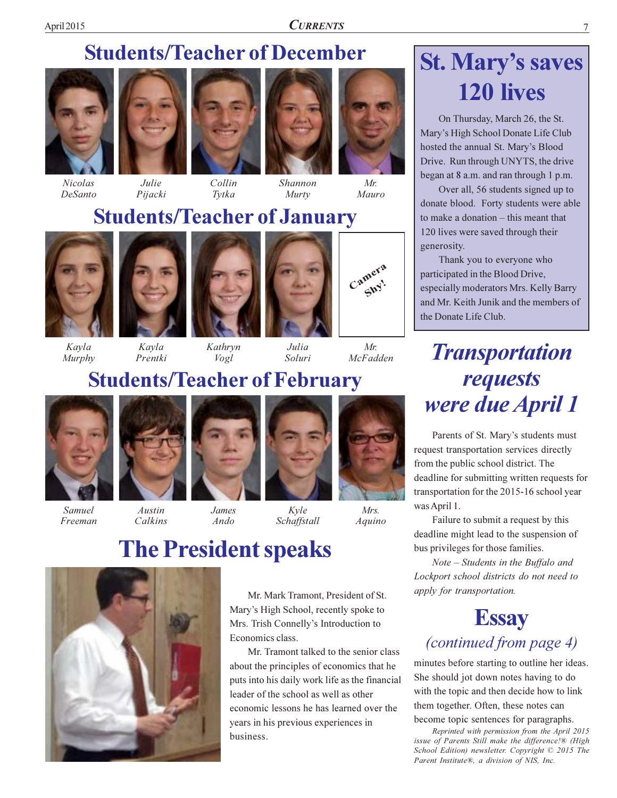#### **Students/Teacher of December**







Pijacki





Shannon Murty



 $Mr.$ Mauro

#### **Students/Teacher of January**

Tytka



Kavla

Murphy



Prentki

Calkins





#### **Students/Teacher of February**

 $V$ ogl



Samuel Freeman







Kyle Schaffstall

#### **The President speaks**



Mr. Mark Tramont, President of St. Mary's High School, recently spoke to Mrs. Trish Connelly's Introduction to Economics class.

Mr. Tramont talked to the senior class about the principles of economics that he puts into his daily work life as the financial leader of the school as well as other economic lessons he has learned over the years in his previous experiences in business.

### **St. Mary's saves 120 lives**

7

On Thursday, March 26, the St. Mary's High School Donate Life Club hosted the annual St. Mary's Blood Drive. Run through UNYTS, the drive began at 8 a.m. and ran through 1 p.m.

Over all, 56 students signed up to donate blood. Forty students were able to make a donation – this meant that 120 lives were saved through their generosity.

Thank you to everyone who participated in the Blood Drive, especially moderators Mrs. Kelly Barry and Mr. Keith Junik and the members of the Donate Life Club.

#### **Transportation** requests were due April 1

Parents of St. Mary's students must request transportation services directly from the public school district. The deadline for submitting written requests for transportation for the 2015-16 school year was April 1.

Failure to submit a request by this deadline might lead to the suspension of bus privileges for those families.

Note – Students in the Buffalo and Lockport school districts do not need to apply for transportation.

#### **Essay**

#### *(continued from page 4)*

minutes before starting to outline her ideas. She should jot down notes having to do with the topic and then decide how to link them together. Often, these notes can become topic sentences for paragraphs.

Reprinted with permission from the April 2015 issue of Parents Still make the difference!® (High School Edition) newsletter. Copyright © 2015 The Parent Institute®, a division of NIS, Inc.

#### McFadden

Camera

Shy.



Mrs.

Aquino

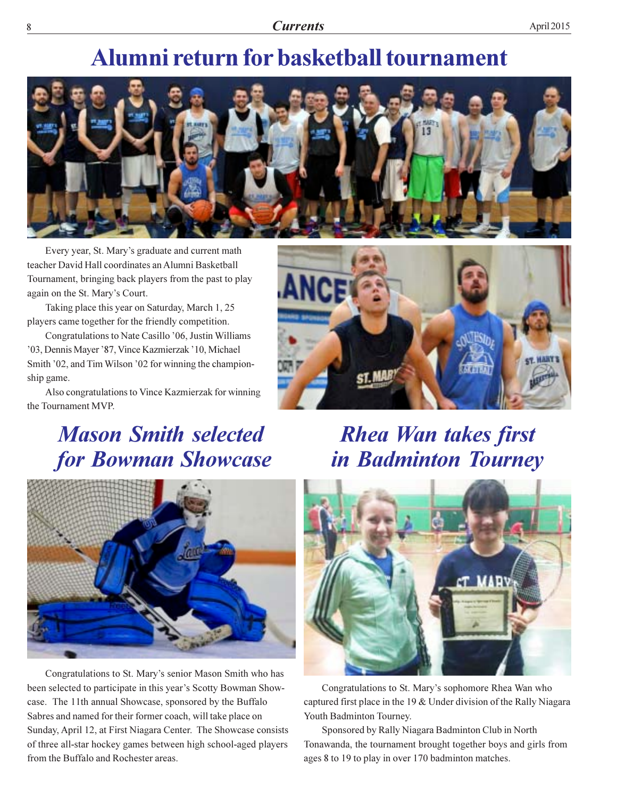#### **Alumni return for basketball tournament**



Every year, St. Mary's graduate and current math teacher David Hall coordinates an Alumni Basketball Tournament, bringing back players from the past to play again on the St. Mary's Court.

Taking place this year on Saturday, March 1, 25 players came together for the friendly competition.

Congratulations to Nate Casillo '06, Justin Williams '03, Dennis Mayer '87, Vince Kazmierzak '10, Michael Smith '02, and Tim Wilson '02 for winning the championship game.

Also congratulations to Vince Kazmierzak for winning the Tournament MVP.

### **Mason Smith selected** for Bowman Showcase



#### **Rhea Wan takes first** in Badminton Tourney



Congratulations to St. Mary's senior Mason Smith who has been selected to participate in this year's Scotty Bowman Showcase. The 11th annual Showcase, sponsored by the Buffalo Sabres and named for their former coach, will take place on Sunday, April 12, at First Niagara Center. The Showcase consists of three all-star hockey games between high school-aged players from the Buffalo and Rochester areas.



Congratulations to St. Mary's sophomore Rhea Wan who captured first place in the 19 & Under division of the Rally Niagara Youth Badminton Tourney.

Sponsored by Rally Niagara Badminton Club in North Tonawanda, the tournament brought together boys and girls from ages 8 to 19 to play in over 170 badminton matches.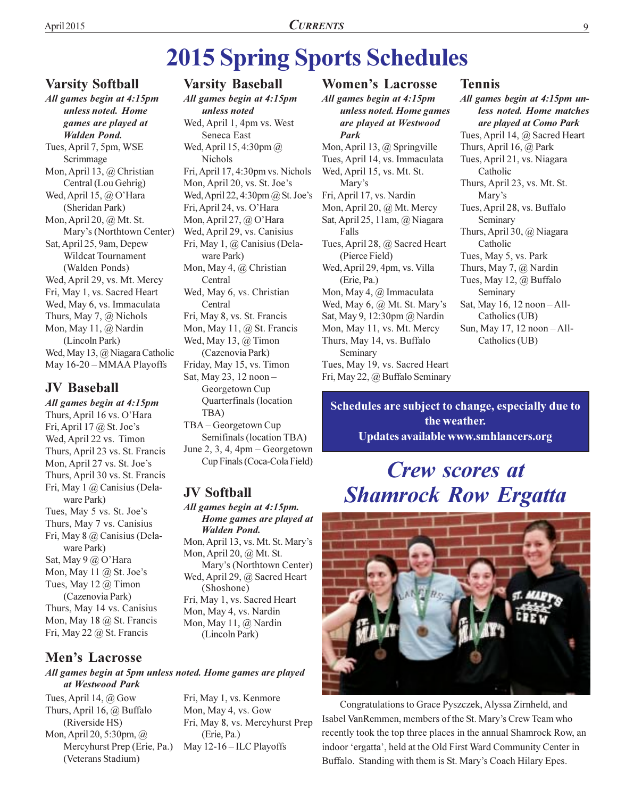### **2015 Spring Sports Schedules**

#### **Varsity Softball**

All games begin at 4:15pm unless noted. Home games are played at **Walden Pond.** Tues, April 7, 5pm, WSE Scrimmage Mon, April 13, @ Christian Central (Lou Gehrig) Wed, April 15, @ O'Hara (Sheridan Park) Mon, April 20, @ Mt. St. Mary's (Northtown Center) Sat, April 25, 9am, Depew **Wildcat Tournament** (Walden Ponds) Wed, April 29, vs. Mt. Mercy Fri, May 1, vs. Sacred Heart Wed, May 6, vs. Immaculata Thurs, May 7,  $\omega$  Nichols Mon, May 11, @ Nardin (Lincoln Park) Wed, May 13, @ Niagara Catholic May 16-20 - MMAA Playoffs

#### **JV Baseball**

All games begin at 4:15pm Thurs, April 16 vs. O'Hara Fri, April 17 @ St. Joe's Wed, April 22 vs. Timon Thurs, April 23 vs. St. Francis Mon, April 27 vs. St. Joe's Thurs, April 30 vs. St. Francis Fri, May 1 @ Canisius (Delaware Park) Tues, May 5 vs. St. Joe's Thurs, May 7 vs. Canisius Fri, May 8 @ Canisius (Delaware Park) Sat, May 9 @ O'Hara Mon, May 11  $@$  St. Joe's Tues, May 12  $\omega$  Timon (Cazenovia Park) Thurs, May 14 vs. Canisius Mon, May 18 @ St. Francis Fri, May 22 @ St. Francis

#### **Men's Lacrosse**

#### All games begin at 5pm unless noted. Home games are played at Westwood Park

Tues, April 14,  $\omega$  Gow Thurs, April 16, @ Buffalo (Riverside HS) Mon, April 20, 5:30pm, @ Mercyhurst Prep (Erie, Pa.) (Veterans Stadium)

#### **Varsity Baseball**

All games begin at 4:15pm unless noted Wed, April 1, 4pm vs. West Seneca East Wed, April 15, 4:30pm @ Nichols Fri, April 17, 4:30pm vs. Nichols Mon, April 20, vs. St. Joe's Wed, April 22, 4:30pm  $@$  St. Joe's Fri, April 24, vs. O'Hara Mon, April 27,  $\omega$  O'Hara Wed, April 29, vs. Canisius Fri, May 1, @ Canisius (Delaware Park) Mon, May 4,  $\omega$  Christian Central Wed, May 6, vs. Christian Central Fri, May 8, vs. St. Francis Mon, May 11, @ St. Francis Wed, May 13,  $\omega$  Timon (Cazenovia Park) Friday, May 15, vs. Timon Sat, May 23, 12 noon -Georgetown Cup Quarterfinals (location TBA) TBA - Georgetown Cup

Semifinals (location TBA) June 2, 3, 4,  $4pm - Georgetown$ Cup Finals (Coca-Cola Field)

#### **JV Softball**

All games begin at 4:15pm. Home games are played at **Walden Pond.** Mon, April 13, vs. Mt. St. Mary's Mon, April 20, @ Mt. St. Mary's (Northtown Center) Wed, April 29, @ Sacred Heart (Shoshone) Fri, May 1, vs. Sacred Heart Mon, May 4, vs. Nardin Mon, May 11, @ Nardin (Lincoln Park)

Fri, May 1, vs. Kenmore Mon, May 4, vs. Gow Fri, May 8, vs. Mercyhurst Prep (Erie, Pa.) May 12-16 - ILC Playoffs

#### **Women's Lacrosse**

All games begin at 4:15pm unless noted. Home games are played at Westwood Park

Mon, April 13,  $\omega$  Springville Tues, April 14, vs. Immaculata Wed, April 15, vs. Mt. St. Mary's Fri, April 17, vs. Nardin Mon, April 20,  $\omega$  Mt. Mercy Sat, April 25, 11am, @ Niagara Falls Tues, April 28, @ Sacred Heart (Pierce Field) Wed, April 29, 4pm, vs. Villa (Erie, Pa.) Mon, May 4, @ Immaculata Wed, May 6, @ Mt. St. Mary's Sat, May 9, 12:30pm @ Nardin Mon, May 11, vs. Mt. Mercy Thurs, May 14, vs. Buffalo Seminary Tues, May 19, vs. Sacred Heart Fri, May 22, @ Buffalo Seminary

#### **Tennis**

All games begin at 4:15pm unless noted. Home matches are played at Como Park Tues, April 14, @ Sacred Heart Thurs, April 16,  $\omega$  Park Tues, April 21, vs. Niagara Catholic Thurs, April 23, vs. Mt. St. Mary's Tues, April 28, vs. Buffalo Seminary Thurs, April 30, @ Niagara Catholic Tues, May 5, vs. Park Thurs, May 7,  $\omega$  Nardin Tues, May 12, @ Buffalo Seminary Sat, May 16, 12 noon - All-Catholics (UB) Sun, May 17, 12 noon - All-Catholics (UB)

Schedules are subject to change, especially due to the weather. Updates available www.smhlancers.org

#### **Crew scores at Shamrock Row Ergatta**



Congratulations to Grace Pyszczek, Alyssa Zirnheld, and Isabel VanRemmen, members of the St. Mary's Crew Team who recently took the top three places in the annual Shamrock Row, an indoor 'ergatta', held at the Old First Ward Community Center in Buffalo. Standing with them is St. Mary's Coach Hilary Epes.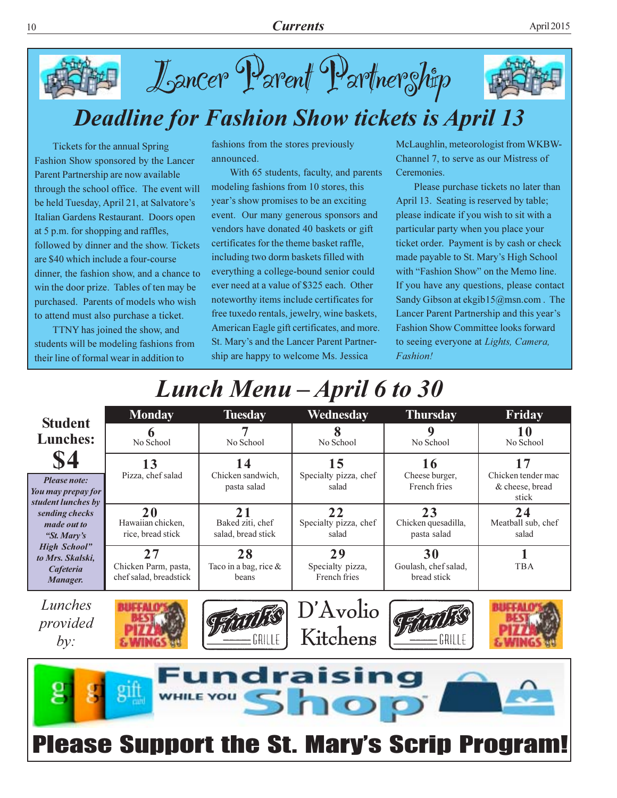



### **Deadline for Fashion Show tickets is April 13**

Tickets for the annual Spring Fashion Show sponsored by the Lancer Parent Partnership are now available through the school office. The event will be held Tuesday, April 21, at Salvatore's Italian Gardens Restaurant. Doors open at 5 p.m. for shopping and raffles, followed by dinner and the show. Tickets are \$40 which include a four-course dinner, the fashion show, and a chance to win the door prize. Tables of ten may be purchased. Parents of models who wish to attend must also purchase a ticket.

TTNY has joined the show, and students will be modeling fashions from their line of formal wear in addition to

fashions from the stores previously announced.

With 65 students, faculty, and parents modeling fashions from 10 stores, this year's show promises to be an exciting event. Our many generous sponsors and vendors have donated 40 baskets or gift certificates for the theme basket raffle, including two dorm baskets filled with everything a college-bound senior could ever need at a value of \$325 each. Other noteworthy items include certificates for free tuxedo rentals, jewelry, wine baskets, American Eagle gift certificates, and more. St. Mary's and the Lancer Parent Partnership are happy to welcome Ms. Jessica

McLaughlin, meteorologist from WKBW-Channel 7, to serve as our Mistress of Ceremonies.

Please purchase tickets no later than April 13. Seating is reserved by table; please indicate if you wish to sit with a particular party when you place your ticket order. Payment is by cash or check made payable to St. Mary's High School with "Fashion Show" on the Memo line. If you have any questions, please contact Sandy Gibson at ekgib15@msn.com. The Lancer Parent Partnership and this year's **Fashion Show Committee looks forward** to seeing everyone at Lights, Camera, Fashion!

### Lunch Menu – April 6 to 30

| <b>Student</b>                                                                                                                                                                       | <b>Monday</b>                                        | <b>Tuesday</b>                               | Wednesday                              | <b>Thursday</b>                           | Friday                                               |  |  |  |
|--------------------------------------------------------------------------------------------------------------------------------------------------------------------------------------|------------------------------------------------------|----------------------------------------------|----------------------------------------|-------------------------------------------|------------------------------------------------------|--|--|--|
| <b>Lunches:</b>                                                                                                                                                                      | No School                                            | No School                                    | No School                              | 9<br>No School                            | No School                                            |  |  |  |
| \$4<br>Please note:<br>You may prepay for<br>student lunches by<br>sending checks<br>made out to<br>"St. Mary's<br><b>High School</b> "<br>to Mrs. Skalski,<br>Cafeteria<br>Manager. | 13<br>Pizza, chef salad                              | 14<br>Chicken sandwich,<br>pasta salad       | 15<br>Specialty pizza, chef<br>salad   | 16<br>Cheese burger,<br>French fries      | 17<br>Chicken tender mac<br>& cheese, bread<br>stick |  |  |  |
|                                                                                                                                                                                      | 20<br>Hawaiian chicken,<br>rice, bread stick         | 21<br>Baked ziti, chef<br>salad, bread stick | 22<br>Specialty pizza, chef<br>salad   | 23<br>Chicken quesadilla,<br>pasta salad  | 24<br>Meatball sub, chef<br>salad                    |  |  |  |
|                                                                                                                                                                                      | 27<br>Chicken Parm, pasta,<br>chef salad, breadstick | 28<br>Taco in a bag, rice $\&$<br>beans      | 29<br>Specialty pizza,<br>French fries | 30<br>Goulash, chef salad,<br>bread stick | <b>TBA</b>                                           |  |  |  |
| Lunches<br>provided                                                                                                                                                                  |                                                      |                                              | D'Avolio<br>Kitchens                   |                                           |                                                      |  |  |  |

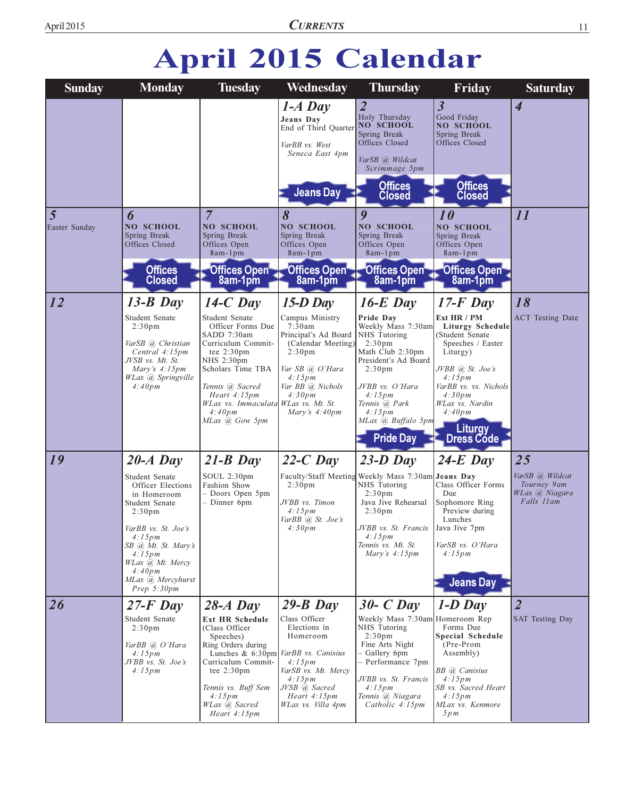## April 2015 Calendar

| <b>Sunday</b>      | <b>Monday</b>                                                                                                                                                                                                                                  | <b>Tuesday</b>                                                                                                                                                                                                                                        | Wednesday                                                                                                                                                                               | <b>Thursday</b>                                                                                                                                                                                                                                         | Friday                                                                                                                                                                                                                                        | <b>Saturday</b>                                                      |
|--------------------|------------------------------------------------------------------------------------------------------------------------------------------------------------------------------------------------------------------------------------------------|-------------------------------------------------------------------------------------------------------------------------------------------------------------------------------------------------------------------------------------------------------|-----------------------------------------------------------------------------------------------------------------------------------------------------------------------------------------|---------------------------------------------------------------------------------------------------------------------------------------------------------------------------------------------------------------------------------------------------------|-----------------------------------------------------------------------------------------------------------------------------------------------------------------------------------------------------------------------------------------------|----------------------------------------------------------------------|
|                    |                                                                                                                                                                                                                                                |                                                                                                                                                                                                                                                       | $1-A$ Day<br>Jeans Day<br>End of Third Quarter<br>VarBB vs. West<br>Seneca East 4pm<br><b>Jeans Day</b>                                                                                 | $\overline{2}$<br>Holy Thursday<br>NO SCHOOL<br>Spring Break<br>Offices Closed<br>VarSB @ Wildcat<br>Scrimmage 5pm<br><b>Offices</b><br><b>Closed</b>                                                                                                   | $\overline{\mathbf{3}}$<br>Good Friday<br><b>NO SCHOOL</b><br>Spring Break<br>Offices Closed<br><b>Offices</b><br><b>Closed</b>                                                                                                               | $\overline{\mathcal{A}}$                                             |
| 5<br>Easter Sunday | 6<br>NO SCHOOL<br>Spring Break<br>Offices Closed<br><b>Offices</b><br><b>Closed</b>                                                                                                                                                            | $\overline{7}$<br>NO SCHOOL<br>Spring Break<br>Offices Open<br>8am-1pm<br>Offices Open<br>8am-1pm                                                                                                                                                     | 8<br>NO SCHOOL<br>Spring Break<br>Offices Open<br>8am-1pm<br>Offices Open<br>8am-1pm                                                                                                    | $\boldsymbol{q}$<br>NO SCHOOL<br>Spring Break<br>Offices Open<br>8am-1pm<br>Offices Open<br>8am-1pm                                                                                                                                                     | 10<br><b>NO SCHOOL</b><br>Spring Break<br>Offices Open<br>8am-1pm<br>Offices Open<br>8am-1pm                                                                                                                                                  | 11                                                                   |
| 12                 | $13-B$ Day<br>Student Senate<br>2:30 <sub>pm</sub><br>VarSB @ Christian<br>Central 4:15pm<br>JVSB vs. Mt. St.<br>Mary's $4:15pm$<br>WLax <i>(a)</i> Springville<br>4:40pm                                                                      | $14-C$ Day<br>Student Senate<br>Officer Forms Due<br>SADD 7:30am<br>Curriculum Commit-<br>tee 2:30pm<br>NHS 2:30pm<br>Scholars Time TBA<br>Tennis @ Sacred<br>Heart 4:15pm<br>WLax vs. Immaculata WLax vs. Mt. St.<br>4:40pm<br>MLax @ Gow 5pm        | $15-D$ Day<br>Campus Ministry<br>7:30am<br>Principal's Ad Board<br>(Calendar Meeting)<br>2:30 <sub>pm</sub><br>Var SB @ O'Hara<br>4:15pm<br>Var BB @ Nichols<br>4:30pm<br>Mary's 4:40pm | $16-E$ Day<br>Pride Day<br>Weekly Mass 7:30am<br>NHS Tutoring<br>2:30 <sub>pm</sub><br>Math Club 2:30pm<br>President's Ad Board<br>2:30 <sub>pm</sub><br>JVBB vs. O'Hara<br>4:15pm<br>Tennis @ Park<br>4:15pm<br>MLax @ Buffalo 5pm<br><b>Pride Day</b> | $17-F$ Day<br>Ext HR / PM<br><b>Liturgy Schedule</b><br>(Student Senate<br>Speeches / Easter<br>Liturgy)<br>JVBB @ St. Joe's<br>4:15pm<br>VarBB vs. vs. Nichols<br>4:30pm<br>WLax vs. Nardin<br>4:40pm<br><b>Liturgy</b><br><b>Dress Códe</b> | 18<br><b>ACT</b> Testing Date                                        |
| 19                 | $20-A$ Day<br>Student Senate<br>Officer Elections<br>in Homeroom<br>Student Senate<br>2:30 <sub>pm</sub><br>VarBB vs. St. Joe's<br>4:15pm<br>SB @ Mt. St. Mary's<br>4:15pm<br>WLax @ Mt. Mercy<br>4:40pm<br>MLax @ Mercyhurst<br>Prep $5:30pm$ | $21-B$ Day<br>SOUL 2:30pm<br>Fashion Show<br>- Doors Open 5pm<br>$-$ Dinner 6pm                                                                                                                                                                       | $22-C$ Day<br>2:30 <sub>pm</sub><br>JVBB vs. Timon<br>4:15pm<br>VarBB @ St. Joe's<br>4:30pm                                                                                             | $23-D$ Day<br>Faculty/Staff Meeting Weekly Mass 7:30am Jeans Day<br>NHS Tutoring<br>2:30 <sub>pm</sub><br>Java Jive Rehearsal<br>2:30 <sub>pm</sub><br>JVBB vs. St. Francis   Java Jive 7pm<br>4:15pm<br>Tennis vs. Mt. St.<br>Mary's $4:15pm$          | $24-E$ Day<br>Class Officer Forms<br>Due<br>Sophomore Ring<br>Preview during<br>Lunches<br>VarSB vs. O'Hara<br>4:15pm<br><b>Jeans Day</b>                                                                                                     | 25<br>VarSB @ Wildcat<br>Tourney 9am<br>WLax @ Niagara<br>Falls 11am |
| 26                 | $27-F$ Day<br>Student Senate<br>2:30 <sub>pm</sub><br>VarBB @ O'Hara<br>4:15pm<br>JVBB vs. St. Joe's<br>4:15pm                                                                                                                                 | $28-A$ Day<br><b>Ext HR Schedule</b><br>(Class Officer<br>Speeches)<br>Ring Orders during<br>Lunches & 6:30pm VarBB vs. Canisius<br>Curriculum Commit-<br>tee $2:30 \text{pm}$<br>Tennis vs. Buff Sem<br>4:15pm<br>WLax (a) Sacred<br>Heart $4:15$ pm | $29 - B$ Day<br>Class Officer<br>Elections in<br>Homeroom<br>4:15pm<br>VarSB vs. Mt. Mercy<br>4:15pm<br>JVSB @ Sacred<br>Heart 4:15pm<br>WLax vs. Villa 4pm                             | $30 - C$ Day<br>Weekly Mass 7:30am Homeroom Rep<br>NHS Tutoring<br>2:30 <sub>pm</sub><br>Fine Arts Night<br>- Gallery 6pm<br>- Performance 7pm<br>JVBB vs. St. Francis<br>4:15pm<br>Tennis @ Niagara<br>Catholic 4:15pm                                 | $1-D$ Day<br>Forms Due<br>Special Schedule<br>(Pre-Prom<br>Assembly)<br>BB @ Canisius<br>4:15pm<br>SB vs. Sacred Heart<br>4:15pm<br>MLax vs. Kenmore<br>5pm                                                                                   | $\overline{2}$<br><b>SAT Testing Day</b>                             |